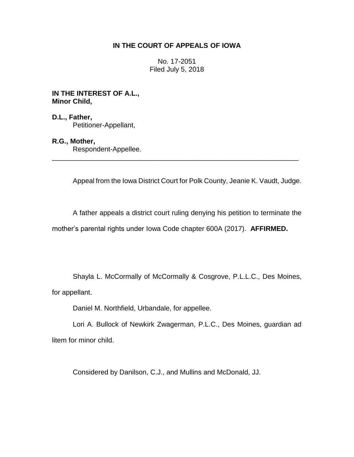## **IN THE COURT OF APPEALS OF IOWA**

No. 17-2051 Filed July 5, 2018

**IN THE INTEREST OF A.L., Minor Child,**

**D.L., Father,** Petitioner-Appellant,

# **R.G., Mother,**

Respondent-Appellee.

Appeal from the Iowa District Court for Polk County, Jeanie K. Vaudt, Judge.

A father appeals a district court ruling denying his petition to terminate the mother's parental rights under Iowa Code chapter 600A (2017). **AFFIRMED.** 

\_\_\_\_\_\_\_\_\_\_\_\_\_\_\_\_\_\_\_\_\_\_\_\_\_\_\_\_\_\_\_\_\_\_\_\_\_\_\_\_\_\_\_\_\_\_\_\_\_\_\_\_\_\_\_\_\_\_\_\_\_\_\_\_

Shayla L. McCormally of McCormally & Cosgrove, P.L.L.C., Des Moines,

for appellant.

Daniel M. Northfield, Urbandale, for appellee.

Lori A. Bullock of Newkirk Zwagerman, P.L.C., Des Moines, guardian ad litem for minor child.

Considered by Danilson, C.J., and Mullins and McDonald, JJ.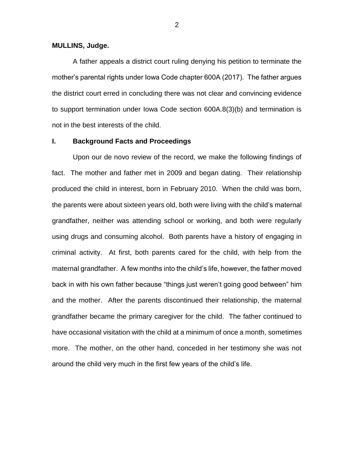### **MULLINS, Judge.**

A father appeals a district court ruling denying his petition to terminate the mother's parental rights under Iowa Code chapter 600A (2017). The father argues the district court erred in concluding there was not clear and convincing evidence to support termination under Iowa Code section 600A.8(3)(b) and termination is not in the best interests of the child.

### **I. Background Facts and Proceedings**

Upon our de novo review of the record, we make the following findings of fact. The mother and father met in 2009 and began dating. Their relationship produced the child in interest, born in February 2010. When the child was born, the parents were about sixteen years old, both were living with the child's maternal grandfather, neither was attending school or working, and both were regularly using drugs and consuming alcohol. Both parents have a history of engaging in criminal activity. At first, both parents cared for the child, with help from the maternal grandfather. A few months into the child's life, however, the father moved back in with his own father because "things just weren't going good between" him and the mother. After the parents discontinued their relationship, the maternal grandfather became the primary caregiver for the child. The father continued to have occasional visitation with the child at a minimum of once a month, sometimes more. The mother, on the other hand, conceded in her testimony she was not around the child very much in the first few years of the child's life.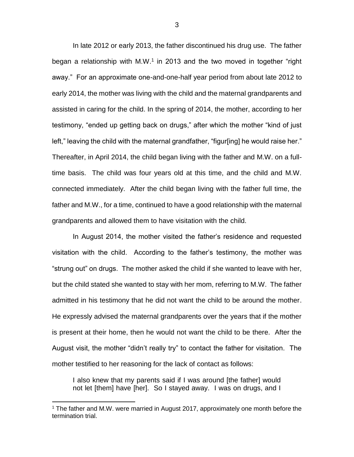In late 2012 or early 2013, the father discontinued his drug use. The father began a relationship with M.W.<sup>1</sup> in 2013 and the two moved in together "right away." For an approximate one-and-one-half year period from about late 2012 to early 2014, the mother was living with the child and the maternal grandparents and assisted in caring for the child. In the spring of 2014, the mother, according to her testimony, "ended up getting back on drugs," after which the mother "kind of just left," leaving the child with the maternal grandfather, "figur[ing] he would raise her." Thereafter, in April 2014, the child began living with the father and M.W. on a fulltime basis. The child was four years old at this time, and the child and M.W. connected immediately. After the child began living with the father full time, the father and M.W., for a time, continued to have a good relationship with the maternal grandparents and allowed them to have visitation with the child.

In August 2014, the mother visited the father's residence and requested visitation with the child. According to the father's testimony, the mother was "strung out" on drugs. The mother asked the child if she wanted to leave with her, but the child stated she wanted to stay with her mom, referring to M.W. The father admitted in his testimony that he did not want the child to be around the mother. He expressly advised the maternal grandparents over the years that if the mother is present at their home, then he would not want the child to be there. After the August visit, the mother "didn't really try" to contact the father for visitation. The mother testified to her reasoning for the lack of contact as follows:

I also knew that my parents said if I was around [the father] would not let [them] have [her]. So I stayed away. I was on drugs, and I

 $\overline{a}$ 

<sup>&</sup>lt;sup>1</sup> The father and M.W. were married in August 2017, approximately one month before the termination trial.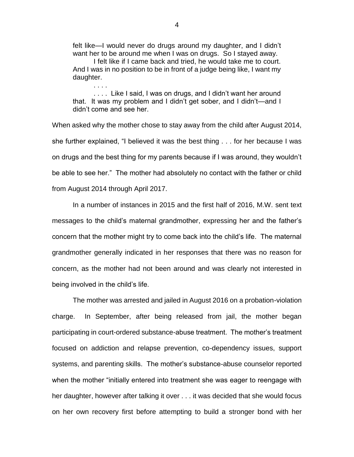felt like—I would never do drugs around my daughter, and I didn't want her to be around me when I was on drugs. So I stayed away.

I felt like if I came back and tried, he would take me to court. And I was in no position to be in front of a judge being like, I want my daughter. . . . .

. . . . Like I said, I was on drugs, and I didn't want her around that. It was my problem and I didn't get sober, and I didn't—and I didn't come and see her.

When asked why the mother chose to stay away from the child after August 2014, she further explained, "I believed it was the best thing . . . for her because I was on drugs and the best thing for my parents because if I was around, they wouldn't be able to see her." The mother had absolutely no contact with the father or child from August 2014 through April 2017.

In a number of instances in 2015 and the first half of 2016, M.W. sent text messages to the child's maternal grandmother, expressing her and the father's concern that the mother might try to come back into the child's life. The maternal grandmother generally indicated in her responses that there was no reason for concern, as the mother had not been around and was clearly not interested in being involved in the child's life.

The mother was arrested and jailed in August 2016 on a probation-violation charge. In September, after being released from jail, the mother began participating in court-ordered substance-abuse treatment. The mother's treatment focused on addiction and relapse prevention, co-dependency issues, support systems, and parenting skills. The mother's substance-abuse counselor reported when the mother "initially entered into treatment she was eager to reengage with her daughter, however after talking it over . . . it was decided that she would focus on her own recovery first before attempting to build a stronger bond with her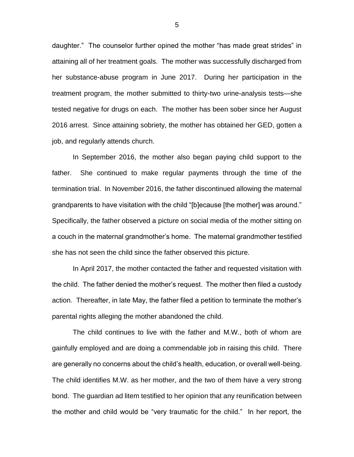daughter." The counselor further opined the mother "has made great strides" in attaining all of her treatment goals. The mother was successfully discharged from her substance-abuse program in June 2017. During her participation in the treatment program, the mother submitted to thirty-two urine-analysis tests—she tested negative for drugs on each. The mother has been sober since her August 2016 arrest. Since attaining sobriety, the mother has obtained her GED, gotten a job, and regularly attends church.

In September 2016, the mother also began paying child support to the father. She continued to make regular payments through the time of the termination trial. In November 2016, the father discontinued allowing the maternal grandparents to have visitation with the child "[b]ecause [the mother] was around." Specifically, the father observed a picture on social media of the mother sitting on a couch in the maternal grandmother's home. The maternal grandmother testified she has not seen the child since the father observed this picture.

In April 2017, the mother contacted the father and requested visitation with the child. The father denied the mother's request. The mother then filed a custody action. Thereafter, in late May, the father filed a petition to terminate the mother's parental rights alleging the mother abandoned the child.

The child continues to live with the father and M.W., both of whom are gainfully employed and are doing a commendable job in raising this child. There are generally no concerns about the child's health, education, or overall well-being. The child identifies M.W. as her mother, and the two of them have a very strong bond. The guardian ad litem testified to her opinion that any reunification between the mother and child would be "very traumatic for the child." In her report, the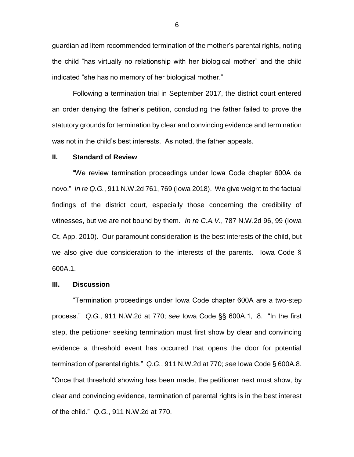guardian ad litem recommended termination of the mother's parental rights, noting the child "has virtually no relationship with her biological mother" and the child indicated "she has no memory of her biological mother."

Following a termination trial in September 2017, the district court entered an order denying the father's petition, concluding the father failed to prove the statutory grounds for termination by clear and convincing evidence and termination was not in the child's best interests. As noted, the father appeals.

#### **II. Standard of Review**

"We review termination proceedings under Iowa Code chapter 600A de novo." *In re Q.G.*, 911 N.W.2d 761, 769 (Iowa 2018). We give weight to the factual findings of the district court, especially those concerning the credibility of witnesses, but we are not bound by them. *In re C.A.V.*, 787 N.W.2d 96, 99 (Iowa Ct. App. 2010). Our paramount consideration is the best interests of the child, but we also give due consideration to the interests of the parents. Iowa Code § 600A.1.

## **III. Discussion**

"Termination proceedings under Iowa Code chapter 600A are a two-step process." *Q.G.*, 911 N.W.2d at 770; *see* Iowa Code §§ 600A.1, .8. "In the first step, the petitioner seeking termination must first show by clear and convincing evidence a threshold event has occurred that opens the door for potential termination of parental rights." *Q.G.*, 911 N.W.2d at 770; *see* Iowa Code § 600A.8. "Once that threshold showing has been made, the petitioner next must show, by clear and convincing evidence, termination of parental rights is in the best interest of the child." *Q.G.*, 911 N.W.2d at 770.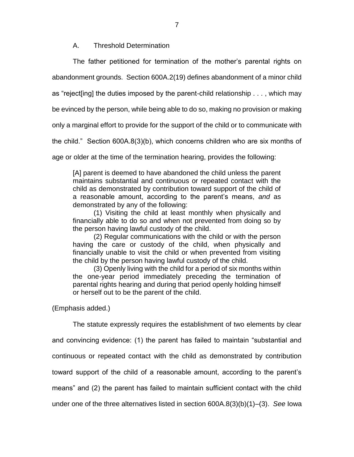A. Threshold Determination

The father petitioned for termination of the mother's parental rights on

abandonment grounds. Section 600A.2(19) defines abandonment of a minor child

as "reject[ing] the duties imposed by the parent-child relationship . . . , which may

be evinced by the person, while being able to do so, making no provision or making

only a marginal effort to provide for the support of the child or to communicate with

the child." Section 600A.8(3)(b), which concerns children who are six months of

age or older at the time of the termination hearing, provides the following:

[A] parent is deemed to have abandoned the child unless the parent maintains substantial and continuous or repeated contact with the child as demonstrated by contribution toward support of the child of a reasonable amount, according to the parent's means, *and* as demonstrated by any of the following:

(1) Visiting the child at least monthly when physically and financially able to do so and when not prevented from doing so by the person having lawful custody of the child.

(2) Regular communications with the child or with the person having the care or custody of the child, when physically and financially unable to visit the child or when prevented from visiting the child by the person having lawful custody of the child.

(3) Openly living with the child for a period of six months within the one-year period immediately preceding the termination of parental rights hearing and during that period openly holding himself or herself out to be the parent of the child.

(Emphasis added.)

The statute expressly requires the establishment of two elements by clear and convincing evidence: (1) the parent has failed to maintain "substantial and continuous or repeated contact with the child as demonstrated by contribution toward support of the child of a reasonable amount, according to the parent's means" and (2) the parent has failed to maintain sufficient contact with the child under one of the three alternatives listed in section 600A.8(3)(b)(1)–(3). *See* Iowa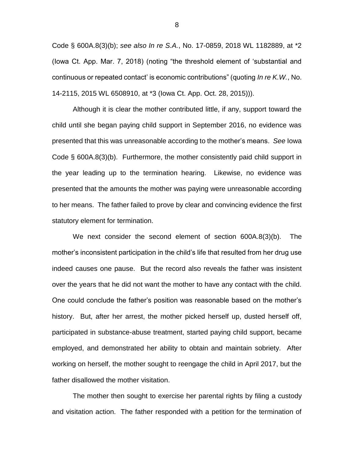Code § 600A.8(3)(b); *see also In re S.A.*, No. 17-0859, 2018 WL 1182889, at \*2 (Iowa Ct. App. Mar. 7, 2018) (noting "the threshold element of 'substantial and continuous or repeated contact' is economic contributions" (quoting *In re K.W.*, No. 14-2115, 2015 WL 6508910, at \*3 (Iowa Ct. App. Oct. 28, 2015))).

Although it is clear the mother contributed little, if any, support toward the child until she began paying child support in September 2016, no evidence was presented that this was unreasonable according to the mother's means. *See* Iowa Code § 600A.8(3)(b). Furthermore, the mother consistently paid child support in the year leading up to the termination hearing. Likewise, no evidence was presented that the amounts the mother was paying were unreasonable according to her means. The father failed to prove by clear and convincing evidence the first statutory element for termination.

We next consider the second element of section 600A.8(3)(b). The mother's inconsistent participation in the child's life that resulted from her drug use indeed causes one pause. But the record also reveals the father was insistent over the years that he did not want the mother to have any contact with the child. One could conclude the father's position was reasonable based on the mother's history. But, after her arrest, the mother picked herself up, dusted herself off, participated in substance-abuse treatment, started paying child support, became employed, and demonstrated her ability to obtain and maintain sobriety. After working on herself, the mother sought to reengage the child in April 2017, but the father disallowed the mother visitation.

The mother then sought to exercise her parental rights by filing a custody and visitation action. The father responded with a petition for the termination of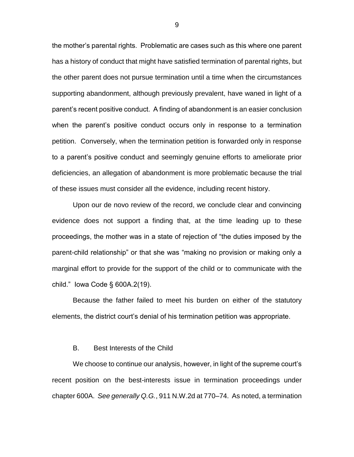the mother's parental rights. Problematic are cases such as this where one parent has a history of conduct that might have satisfied termination of parental rights, but the other parent does not pursue termination until a time when the circumstances supporting abandonment, although previously prevalent, have waned in light of a parent's recent positive conduct. A finding of abandonment is an easier conclusion when the parent's positive conduct occurs only in response to a termination petition. Conversely, when the termination petition is forwarded only in response to a parent's positive conduct and seemingly genuine efforts to ameliorate prior deficiencies, an allegation of abandonment is more problematic because the trial of these issues must consider all the evidence, including recent history.

Upon our de novo review of the record, we conclude clear and convincing evidence does not support a finding that, at the time leading up to these proceedings, the mother was in a state of rejection of "the duties imposed by the parent-child relationship" or that she was "making no provision or making only a marginal effort to provide for the support of the child or to communicate with the child." Iowa Code § 600A.2(19).

Because the father failed to meet his burden on either of the statutory elements, the district court's denial of his termination petition was appropriate.

#### B. Best Interests of the Child

We choose to continue our analysis, however, in light of the supreme court's recent position on the best-interests issue in termination proceedings under chapter 600A. *See generally Q.G.*, 911 N.W.2d at 770–74. As noted, a termination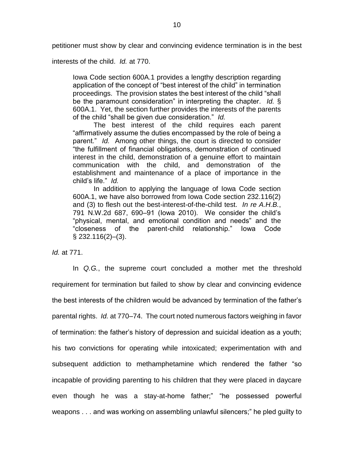petitioner must show by clear and convincing evidence termination is in the best

interests of the child. *Id.* at 770.

Iowa Code section 600A.1 provides a lengthy description regarding application of the concept of "best interest of the child" in termination proceedings. The provision states the best interest of the child "shall be the paramount consideration" in interpreting the chapter. *Id.* § 600A.1. Yet, the section further provides the interests of the parents of the child "shall be given due consideration." *Id.*

The best interest of the child requires each parent "affirmatively assume the duties encompassed by the role of being a parent." *Id.* Among other things, the court is directed to consider "the fulfillment of financial obligations, demonstration of continued interest in the child, demonstration of a genuine effort to maintain communication with the child, and demonstration of the establishment and maintenance of a place of importance in the child's life." *Id.*

In addition to applying the language of Iowa Code section 600A.1, we have also borrowed from Iowa Code section 232.116(2) and (3) to flesh out the best-interest-of-the-child test. *In re A.H.B.*, 791 N.W.2d 687, 690–91 (Iowa 2010). We consider the child's "physical, mental, and emotional condition and needs" and the "closeness of the parent-child relationship." Iowa Code § 232.116(2)–(3).

*Id.* at 771.

In *Q.G.*, the supreme court concluded a mother met the threshold requirement for termination but failed to show by clear and convincing evidence the best interests of the children would be advanced by termination of the father's parental rights. *Id.* at 770–74. The court noted numerous factors weighing in favor of termination: the father's history of depression and suicidal ideation as a youth; his two convictions for operating while intoxicated; experimentation with and subsequent addiction to methamphetamine which rendered the father "so incapable of providing parenting to his children that they were placed in daycare even though he was a stay-at-home father;" "he possessed powerful weapons . . . and was working on assembling unlawful silencers;" he pled guilty to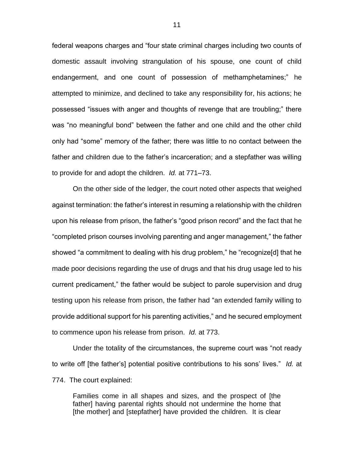federal weapons charges and "four state criminal charges including two counts of domestic assault involving strangulation of his spouse, one count of child endangerment, and one count of possession of methamphetamines;" he attempted to minimize, and declined to take any responsibility for, his actions; he possessed "issues with anger and thoughts of revenge that are troubling;" there was "no meaningful bond" between the father and one child and the other child only had "some" memory of the father; there was little to no contact between the father and children due to the father's incarceration; and a stepfather was willing to provide for and adopt the children. *Id.* at 771–73.

On the other side of the ledger, the court noted other aspects that weighed against termination: the father's interest in resuming a relationship with the children upon his release from prison, the father's "good prison record" and the fact that he "completed prison courses involving parenting and anger management," the father showed "a commitment to dealing with his drug problem," he "recognize[d] that he made poor decisions regarding the use of drugs and that his drug usage led to his current predicament," the father would be subject to parole supervision and drug testing upon his release from prison, the father had "an extended family willing to provide additional support for his parenting activities," and he secured employment to commence upon his release from prison. *Id.* at 773.

Under the totality of the circumstances, the supreme court was "not ready to write off [the father's] potential positive contributions to his sons' lives." *Id.* at 774. The court explained:

Families come in all shapes and sizes, and the prospect of [the father] having parental rights should not undermine the home that [the mother] and [stepfather] have provided the children. It is clear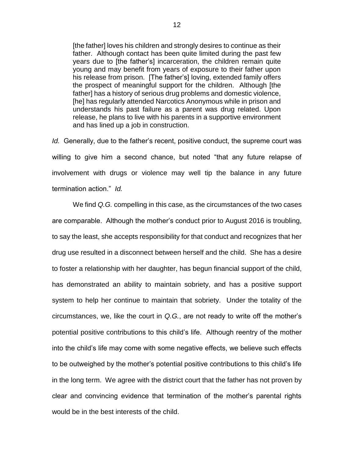[the father] loves his children and strongly desires to continue as their father. Although contact has been quite limited during the past few years due to [the father's] incarceration, the children remain quite young and may benefit from years of exposure to their father upon his release from prison. [The father's] loving, extended family offers the prospect of meaningful support for the children. Although [the father] has a history of serious drug problems and domestic violence, [he] has regularly attended Narcotics Anonymous while in prison and understands his past failure as a parent was drug related. Upon release, he plans to live with his parents in a supportive environment and has lined up a job in construction.

*Id.* Generally, due to the father's recent, positive conduct, the supreme court was willing to give him a second chance, but noted "that any future relapse of involvement with drugs or violence may well tip the balance in any future termination action." *Id.*

We find *Q.G.* compelling in this case, as the circumstances of the two cases are comparable. Although the mother's conduct prior to August 2016 is troubling, to say the least, she accepts responsibility for that conduct and recognizes that her drug use resulted in a disconnect between herself and the child. She has a desire to foster a relationship with her daughter, has begun financial support of the child, has demonstrated an ability to maintain sobriety, and has a positive support system to help her continue to maintain that sobriety. Under the totality of the circumstances, we, like the court in *Q.G.*, are not ready to write off the mother's potential positive contributions to this child's life. Although reentry of the mother into the child's life may come with some negative effects, we believe such effects to be outweighed by the mother's potential positive contributions to this child's life in the long term. We agree with the district court that the father has not proven by clear and convincing evidence that termination of the mother's parental rights would be in the best interests of the child.